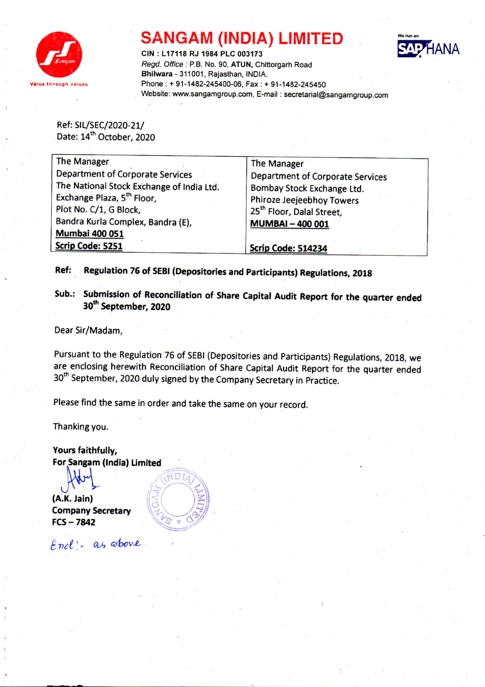

## SANGAM (INDIA) LIMITED



CIN : L17118 RJ 1984 PLC 003173 *Regd. Office:* P.B. No. 90, ATUN, Chittorgarh Road Bhilwara - 311001, Rajasthan, INDIA. Phone: + 91-1482-245400-06, Fax: + 91-1482-245450 Website: www.sangamgroup.com. E-mail: secretarial@sangamgroup.com

Ref: SIL/SEC/2020-21/ Date: 14<sup>th</sup> October, 2020

| The Manager                               | The Manager                           |
|-------------------------------------------|---------------------------------------|
| Department of Corporate Services          | Department of Corporate Services      |
| The National Stock Exchange of India Ltd. | Bombay Stock Exchange Ltd.            |
| Exchange Plaza, 5 <sup>th</sup> Floor,    | Phiroze Jeejeebhoy Towers             |
| Plot No. C/1, G Block,                    | 25 <sup>th</sup> Floor, Dalal Street, |
| Bandra Kurla Complex, Bandra (E),         | <b>MUMBAI-400 001</b>                 |
| <b>Mumbai 400 051</b>                     |                                       |
| Scrip Code: 5251                          | Scrip Code: 514234                    |

Ref: Regulation 76 of SEBI(Depositories and Participants) Regulations, 2018

Sub.: Submission of Reconciliation of Share Capital Audit Report for the quarter ended 30<sup>th</sup> September, 2020

Dear Sir/Madam,

Pursuant to the Regulation 76 of SEBI (Depositories and Participants) Regulations, 2018, we are enclosing herewith Reconciliation of Share Capital Audit Report for the quarter ended 30<sup>th</sup> September, 2020 duly signed by the Company Secretary in Practice.

Please find the same in order and take the same on your record,

Thanking you.

Yours faithfully, For Sangam (India) Limited

 $(A.K.$  Jain $)$ Company Secretary  $FCS - 7842$ 



 $NDI$ 

Encl: as above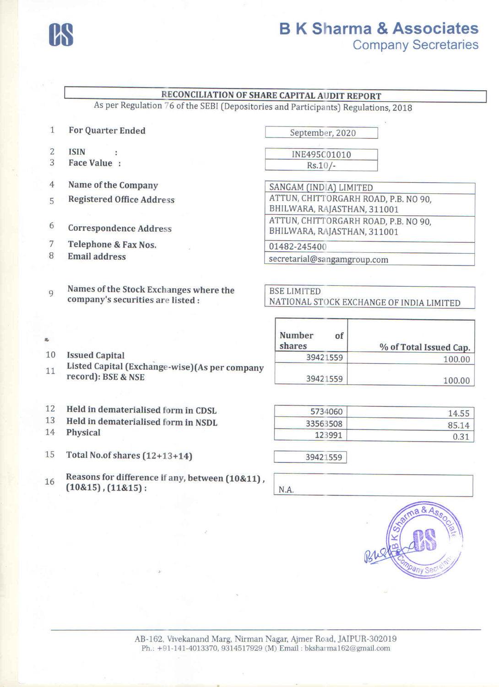

## RECONCILIATION OF SHARE CAPITAL AUDIT REPORT

As per Regulation 76 of the SEBI (Depositories and Participants) Regulations, 2018

- 1 For Quarter Ended
- 2 ISIN
- 3 Face Value :
- 4 Name of the Company
- 5 Registered Office Address

×

- 6 Correspondence Address
- 7 Telephone & Fax Nos.
- 8 Email address

Issued Capital

record): BSE & NSE

9 Names of the Stock Exchanges where the company's securities are listed:

September, 2020

INE495C01010  $Rs.10/-$ 

SANGAM (INDIA) LIMITED ATTUN, CHITTORGARH ROAD, P.B. NO 90, SHILWARA, RAJASTHAN, 311001 ATTUN, CHITTORGARH ROAD, P.B. NO 90, BHILWARA, RAJASTHAN, 311001

01482-245400

secretarial@sangamgroup.com

**BSE LIMITED** NATIONAL STOCK EXCHANGEOF INDIA LIMITED

| <b>Number</b><br>of<br>shares | % of Total Issued Cap. |
|-------------------------------|------------------------|
| 39421559                      | 100.00                 |
| 39421559                      | 100.00                 |

- 12 Held in dematerialised form in CDSL
- 13 Held in dematerialised form in NSDL
- 14 Physical

10 11

ż,

- 15 Total No. of shares (12+13+14) 39421559
- <sup>16</sup> Reasons for difference if any, between (10&11) ,  $(10\&15)$ ,  $(11\&15)$ : I N.A.

Listed Capital (Exchange-wise)(As per company

| 5734060  | 14.55 |
|----------|-------|
| 33563508 | 85.14 |
| 123991   | 0.31  |

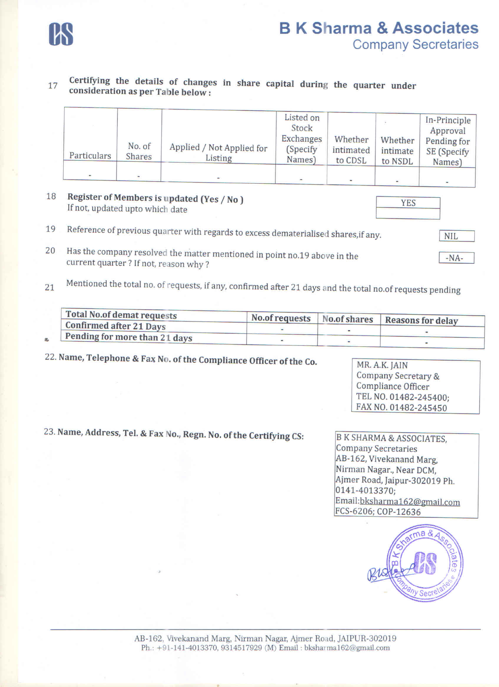

17 Certifying the details of changes in share capital during the quarter under consideration as per Table below:

| Particulars | No. of<br><b>Shares</b> | Applied / Not Applied for<br>Listing | Listed on<br>Stock<br><b>Exchanges</b><br>(Specify)<br>Names) | Whether<br>intimated<br>to CDSL | Whether<br>intimate<br>to NSDL | In-Principle<br>Approval<br>Pending for<br>SE (Specify<br>Names) |
|-------------|-------------------------|--------------------------------------|---------------------------------------------------------------|---------------------------------|--------------------------------|------------------------------------------------------------------|
|             |                         |                                      |                                                               |                                 |                                | ٠                                                                |

- 18 Register of Members is updated (Yes / No ) If not, updated upto which date
- 19 Reference of previous quarter with regards to excess dematerialised shares, if any.
- 20 Has the company resolved the matter mentioned in point no.19 above in the current quarter? If not, reason why? *-NA-*
- 21 Mentioned the total no. of requests, if any, confirmed after 21 days and the total no.of requests pending

| No.of requests No.of shares Reasons for delay |
|-----------------------------------------------|
|                                               |
|                                               |
|                                               |

22. Name, Telephone & *Fax* No. of the Compliance Officer of the Co.

MR. A.K. JAIN Company Secretary & Compliance Officer TEL NO. 01482-245400; FAX NO. 01482-245450

23. Name, Address, Tel. & Fax *No.*, Regn. No. of the Certifying CS: **B K SHARMA & ASSOCIATES**,

Company Secretaries AB-162, Vivekanand Marg, Nirman Nagar., Near OCM, Ajmer Road, Jaipur-302019 Ph. 0141-4013370; Email:bksharmaI62@gmail.com FCS-6206; COP-12636



YES